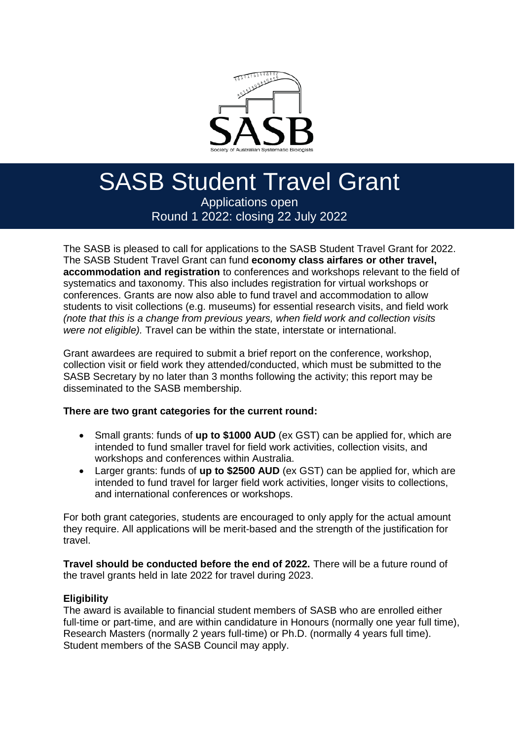

#### These grants will be open to all student members that are within candidature and working on any relevant area of systematics. The area of systematics. The SHI strength are funded by the Austr SASB Student Travel Grant

administrated by the SASB. Similar awards are also administrated by the Australasian Applications open Systematic Botany Society. Round 1 2022: closing 22 July 2022

The SASB is pleased to call for applications to the SASB Student Travel Grant for 2022. The SASB Student Travel Grant can fund **economy class airfares or other travel, accommodation and registration** to conferences and workshops relevant to the field of systematics and taxonomy. This also includes registration for virtual workshops or conferences. Grants are now also able to fund travel and accommodation to allow students to visit collections (e.g. museums) for essential research visits, and field work *(note that this is a change from previous years, when field work and collection visits were not eligible).* Travel can be within the state, interstate or international.

Grant awardees are required to submit a brief report on the conference, workshop, collection visit or field work they attended/conducted, which must be submitted to the SASB Secretary by no later than 3 months following the activity; this report may be disseminated to the SASB membership.

### **There are two grant categories for the current round:**

- Small grants: funds of **up to \$1000 AUD** (ex GST) can be applied for, which are intended to fund smaller travel for field work activities, collection visits, and workshops and conferences within Australia.
- Larger grants: funds of **up to \$2500 AUD** (ex GST) can be applied for, which are intended to fund travel for larger field work activities, longer visits to collections, and international conferences or workshops.

For both grant categories, students are encouraged to only apply for the actual amount they require. All applications will be merit-based and the strength of the justification for travel.

**Travel should be conducted before the end of 2022.** There will be a future round of the travel grants held in late 2022 for travel during 2023.

### **Eligibility**

The award is available to financial student members of SASB who are enrolled either full-time or part-time, and are within candidature in Honours (normally one year full time), Research Masters (normally 2 years full-time) or Ph.D. (normally 4 years full time). Student members of the SASB Council may apply.